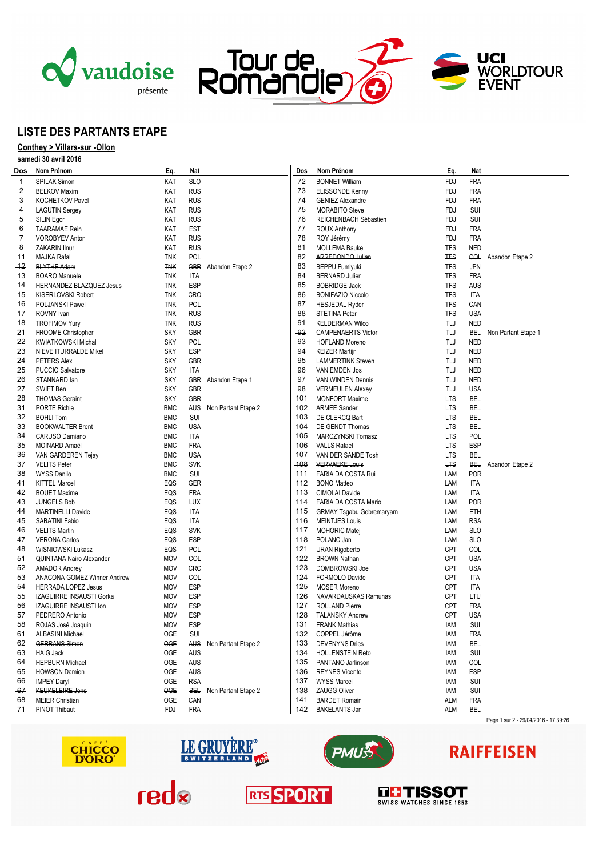





## **LISTE DES PARTANTS ETAPE**

### **Conthey > Villars-sur -Ollon samedi 30 avril 2016**

|  | Salilegi 30 avril 2010 |
|--|------------------------|
|  |                        |

| Dos       | Nom Prénom                                | Eq.                      | Nat               |                         | Dos   | Nom Prénom                                    | Eq.           | Nat                      |                                      |
|-----------|-------------------------------------------|--------------------------|-------------------|-------------------------|-------|-----------------------------------------------|---------------|--------------------------|--------------------------------------|
| 1         | <b>SPILAK Simon</b>                       | KAT                      | <b>SLO</b>        |                         | 72    | <b>BONNET William</b>                         | <b>FDJ</b>    | <b>FRA</b>               |                                      |
| 2         | <b>BELKOV Maxim</b>                       | KAT                      | <b>RUS</b>        |                         | 73    | ELISSONDE Kenny                               | FDJ           | <b>FRA</b>               |                                      |
| 3         | <b>KOCHETKOV Pavel</b>                    | KAT                      | <b>RUS</b>        |                         | 74    | <b>GENIEZ Alexandre</b>                       | <b>FDJ</b>    | <b>FRA</b>               |                                      |
| 4         | <b>LAGUTIN Sergey</b>                     | KAT                      | <b>RUS</b>        |                         | 75    | <b>MORABITO Steve</b>                         | <b>FDJ</b>    | SUI                      |                                      |
| 5         | SILIN Egor                                | KAT                      | <b>RUS</b>        |                         | 76    | REICHENBACH Sébastien                         | FDJ           | SUI                      |                                      |
| 6         | <b>TAARAMAE</b> Rein                      | KAT                      | <b>EST</b>        |                         | 77    | <b>ROUX Anthony</b>                           | FDJ           | <b>FRA</b>               |                                      |
| 7         | <b>VOROBYEV Anton</b>                     | KAT                      | <b>RUS</b>        |                         | 78    | ROY Jérémy                                    | <b>FDJ</b>    | <b>FRA</b>               |                                      |
| 8         | ZAKARIN Ilnur                             | KAT                      | <b>RUS</b>        |                         | 81    | <b>MOLLEMA Bauke</b>                          | <b>TFS</b>    | <b>NED</b>               |                                      |
| 11        | <b>MAJKA Rafal</b>                        | <b>TNK</b>               | POL               |                         | $-82$ | ARREDONDO Julian                              | <b>TFS</b>    | COL                      | Abandon Etape 2                      |
| $-12$     | <b>BLYTHE Adam</b>                        | <b>TNK</b>               |                   | GBR Abandon Etape 2     | 83    | <b>BEPPU Fumiyuki</b>                         | <b>TFS</b>    | <b>JPN</b>               |                                      |
| 13        | <b>BOARO</b> Manuele                      | <b>TNK</b>               | <b>ITA</b>        |                         | 84    | <b>BERNARD Julien</b>                         | <b>TFS</b>    | <b>FRA</b>               |                                      |
| 14        | HERNANDEZ BLAZQUEZ Jesus                  | <b>TNK</b>               | <b>ESP</b>        |                         | 85    | <b>BOBRIDGE Jack</b>                          | <b>TFS</b>    | AUS                      |                                      |
| 15        | KISERLOVSKI Robert                        | <b>TNK</b>               | <b>CRO</b>        |                         | 86    | <b>BONIFAZIO Niccolo</b>                      | TFS           | ITA                      |                                      |
| 16        | POLJANSKI Pawel                           | <b>TNK</b>               | <b>POL</b>        |                         | 87    | <b>HESJEDAL Ryder</b>                         | <b>TFS</b>    | CAN                      |                                      |
| 17        | ROVNY Ivan                                | <b>TNK</b>               | <b>RUS</b>        |                         | 88    | <b>STETINA Peter</b>                          | <b>TFS</b>    | <b>USA</b>               |                                      |
| 18        | <b>TROFIMOV Yury</b>                      | <b>TNK</b>               | <b>RUS</b>        |                         | 91    | <b>KELDERMAN Wilco</b>                        | TLJ           | <b>NED</b>               |                                      |
| 21        | FROOME Christopher                        | <b>SKY</b>               | GBR               |                         | $-92$ | <b>CAMPENAERTS Victor</b>                     | $H_{\rm eff}$ | <b>BEL</b>               | Non Partant Etape 1                  |
| 22        | <b>KWIATKOWSKI Michal</b>                 | <b>SKY</b>               | <b>POL</b>        |                         | 93    | <b>HOFLAND Moreno</b>                         | TLJ           | <b>NED</b>               |                                      |
| 23        | <b>NIEVE ITURRALDE Mikel</b>              | <b>SKY</b>               | <b>ESP</b>        |                         | 94    | <b>KEIZER Martijn</b>                         | TLJ           | <b>NED</b>               |                                      |
| 24        | PETERS Alex                               | <b>SKY</b>               | <b>GBR</b>        |                         | 95    | <b>LAMMERTINK Steven</b>                      | TLJ           | <b>NED</b>               |                                      |
| 25        | PUCCIO Salvatore                          | <b>SKY</b>               | <b>ITA</b>        |                         | 96    | VAN EMDEN Jos                                 | TLJ           | <b>NED</b>               |                                      |
| -26       | STANNARD lan                              | <b>SKY</b>               |                   | GBR Abandon Etape 1     | 97    |                                               | TLJ           | <b>NED</b>               |                                      |
| 27        |                                           |                          | GBR               |                         | 98    | VAN WINDEN Dennis                             | TLJ           |                          |                                      |
|           | SWIFT Ben                                 | <b>SKY</b>               |                   |                         | 101   | <b>VERMEULEN Alexey</b>                       |               | <b>USA</b>               |                                      |
| 28<br>-31 | <b>THOMAS Geraint</b>                     | <b>SKY</b>               | GBR               |                         | 102   | <b>MONFORT Maxime</b><br><b>ARMEE Sander</b>  | LTS           | <b>BEL</b>               |                                      |
| 32        | <b>PORTE Richie</b><br><b>BOHLI Tom</b>   | <b>BMC</b><br><b>BMC</b> | SUI               | AUS Non Partant Etape 2 | 103   |                                               | LTS<br>LTS    | <b>BEL</b><br><b>BEL</b> |                                      |
|           |                                           | <b>BMC</b>               | <b>USA</b>        |                         | 104   | DE CLERCQ Bart                                |               | <b>BEL</b>               |                                      |
| 33<br>34  | <b>BOOKWALTER Brent</b>                   |                          | <b>ITA</b>        |                         | 105   | DE GENDT Thomas                               | LTS           |                          |                                      |
|           | CARUSO Damiano<br>MOINARD Amaël           | <b>BMC</b><br><b>BMC</b> | <b>FRA</b>        |                         | 106   | MARCZYNSKI Tomasz                             | LTS<br>LTS    | <b>POL</b><br><b>ESP</b> |                                      |
| 35        | VAN GARDEREN Tejay                        |                          |                   |                         | 107   | <b>VALLS Rafael</b><br>VAN DER SANDE Tosh     | LTS           | <b>BEL</b>               |                                      |
| 36<br>37  |                                           | <b>BMC</b>               | <b>USA</b>        |                         | -108  |                                               | <b>LTS</b>    |                          |                                      |
| 38        | <b>VELITS Peter</b><br><b>WYSS Danilo</b> | <b>BMC</b><br><b>BMC</b> | <b>SVK</b><br>SUI |                         | 111   | <b>VERVAEKE Louis</b><br>FARIA DA COSTA Rui   | LAM           | BE⊦<br><b>POR</b>        | Abandon Etape 2                      |
|           | <b>KITTEL Marcel</b>                      | EQS                      | GER               |                         | 112   | <b>BONO Matteo</b>                            | LAM           | ITA                      |                                      |
| 41<br>42  |                                           |                          | <b>FRA</b>        |                         | 113   |                                               |               |                          |                                      |
| 43        | <b>BOUET Maxime</b>                       | EQS<br>EQS               |                   |                         | 114   | CIMOLAI Davide                                | LAM<br>LAM    | ITA<br><b>POR</b>        |                                      |
|           | <b>JUNGELS Bob</b>                        |                          | LUX<br><b>ITA</b> |                         | 115   | FARIA DA COSTA Mario                          | LAM           | ETH                      |                                      |
| 44<br>45  | <b>MARTINELLI Davide</b>                  | EQS<br>EQS               |                   |                         | 116   | <b>GRMAY Tsgabu Gebremaryam</b>               |               |                          |                                      |
|           | SABATINI Fabio<br><b>VELITS Martin</b>    | EQS                      | ITA<br><b>SVK</b> |                         | 117   | <b>MEINTJES Louis</b><br><b>MOHORIC Matej</b> | LAM<br>LAM    | <b>RSA</b><br><b>SLO</b> |                                      |
| 46<br>47  | <b>VERONA Carlos</b>                      | EQS                      | ESP               |                         | 118   | POLANC Jan                                    | LAM           | <b>SLO</b>               |                                      |
| 48        | WISNIOWSKI Lukasz                         | EQS                      | POL               |                         | 121   | <b>URAN Rigoberto</b>                         | <b>CPT</b>    | COL                      |                                      |
| 51        | QUINTANA Nairo Alexander                  | <b>MOV</b>               | COL               |                         | 122   | <b>BROWN Nathan</b>                           | CPT           | <b>USA</b>               |                                      |
| 52        | <b>AMADOR Andrey</b>                      | <b>MOV</b>               | <b>CRC</b>        |                         | 123   | DOMBROWSKI Joe                                | <b>CPT</b>    | <b>USA</b>               |                                      |
| 53        | ANACONA GOMEZ Winner Andrew               | <b>MOV</b>               | COL               |                         | 124   | FORMOLO Davide                                | <b>CPT</b>    | ITA                      |                                      |
| 54        | <b>HERRADA LOPEZ Jesus</b>                | <b>MOV</b>               | ESP               |                         | 125   | <b>MOSER Moreno</b>                           | <b>CPT</b>    | ITA                      |                                      |
| 55        | IZAGUIRRE INSAUSTI Gorka                  | <b>MOV</b>               | ESP               |                         | 126   | NAVARDAUSKAS Ramunas                          | <b>CPT</b>    | LTU                      |                                      |
| 56        | IZAGUIRRE INSAUSTI Ion                    | <b>MOV</b>               | ESP               |                         | 127   | <b>ROLLAND Pierre</b>                         | CPT           | <b>FRA</b>               |                                      |
| 57        | PEDRERO Antonio                           | <b>MOV</b>               | ESP               |                         | 128   | <b>TALANSKY Andrew</b>                        | <b>CPT</b>    | <b>USA</b>               |                                      |
| 58        | ROJAS José Joaquin                        | MOV                      | ESP               |                         | 131   | <b>FRANK Mathias</b>                          | IAM           | SUI                      |                                      |
| 61        | <b>ALBASINI Michael</b>                   | OGE                      | SUI               |                         | 132   | COPPEL Jérôme                                 | iam           | <b>FRA</b>               |                                      |
| -62       | <b>GERRANS Simon</b>                      | OGE                      |                   | AUS Non Partant Etape 2 | 133   | <b>DEVENYNS Dries</b>                         | IAM           | BEL                      |                                      |
| 63        | <b>HAIG Jack</b>                          | 0GE                      | AUS               |                         | 134   | <b>HOLLENSTEIN Reto</b>                       | IAM           | SUI                      |                                      |
| 64        | <b>HEPBURN Michael</b>                    | 0GE                      | <b>AUS</b>        |                         | 135   | PANTANO Jarlinson                             | IAM           | COL                      |                                      |
| 65        | <b>HOWSON Damien</b>                      | OGE                      | AUS               |                         | 136   | <b>REYNES Vicente</b>                         | iam           | <b>ESP</b>               |                                      |
| 66        | <b>IMPEY Daryl</b>                        | OGE                      | <b>RSA</b>        |                         | 137   | <b>WYSS Marcel</b>                            | iam           | SUI                      |                                      |
| -67       | <b>KEUKELEIRE Jens</b>                    | <b>OGE</b>               |                   | BEL Non Partant Etape 2 | 138   | <b>ZAUGG Oliver</b>                           | IAM           | SUI                      |                                      |
| 68        | <b>MEIER Christian</b>                    | <b>OGE</b>               | CAN               |                         | 141   | <b>BARDET Romain</b>                          | <b>ALM</b>    | <b>FRA</b>               |                                      |
| 71        | <b>PINOT Thibaut</b>                      | FDJ                      | <b>FRA</b>        |                         | 142   | <b>BAKELANTS Jan</b>                          | ALM           | <b>BEL</b>               |                                      |
|           |                                           |                          |                   |                         |       |                                               |               |                          | Page 1 sur 2 - 29/04/2016 - 17:39:26 |
|           |                                           |                          |                   |                         |       |                                               |               |                          |                                      |







# **RAIFFEISEN**